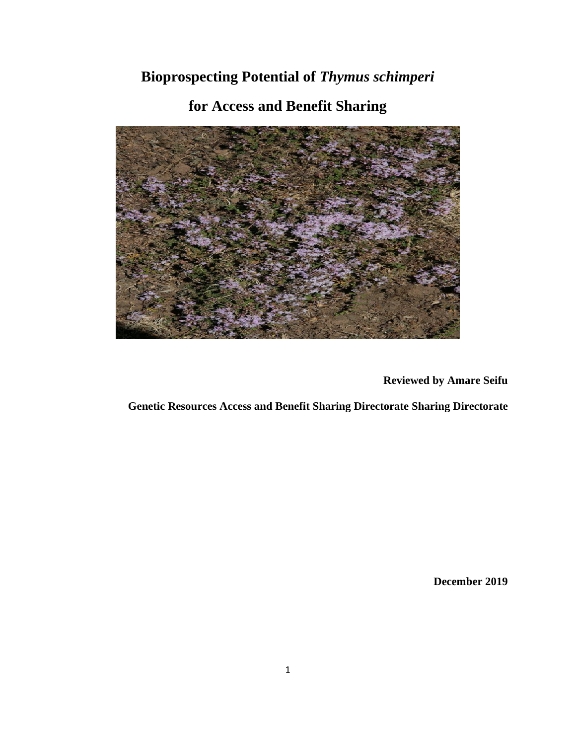# **Bioprospecting Potential of** *Thymus schimperi*

## **for Access and Benefit Sharing**



**Reviewed by Amare Seifu**

 **Genetic Resources Access and Benefit Sharing Directorate Sharing Directorate** 

**December 2019**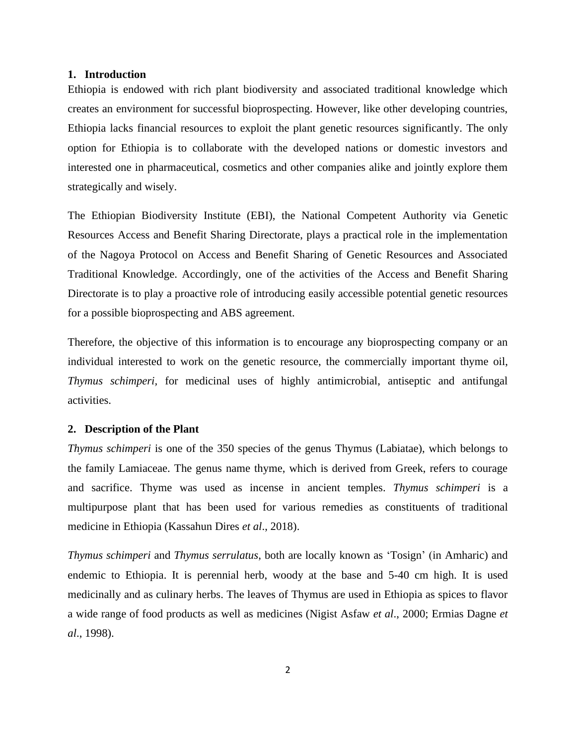#### **1. Introduction**

Ethiopia is endowed with rich plant biodiversity and associated traditional knowledge which creates an environment for successful bioprospecting. However, like other developing countries, Ethiopia lacks financial resources to exploit the plant genetic resources significantly. The only option for Ethiopia is to collaborate with the developed nations or domestic investors and interested one in pharmaceutical, cosmetics and other companies alike and jointly explore them strategically and wisely.

The Ethiopian Biodiversity Institute (EBI), the National Competent Authority via Genetic Resources Access and Benefit Sharing Directorate, plays a practical role in the implementation of the Nagoya Protocol on Access and Benefit Sharing of Genetic Resources and Associated Traditional Knowledge. Accordingly, one of the activities of the Access and Benefit Sharing Directorate is to play a proactive role of introducing easily accessible potential genetic resources for a possible bioprospecting and ABS agreement.

Therefore, the objective of this information is to encourage any bioprospecting company or an individual interested to work on the genetic resource, the commercially important thyme oil, *Thymus schimperi,* for medicinal uses of highly antimicrobial, antiseptic and antifungal activities.

#### **2. Description of the Plant**

*Thymus schimperi* is one of the 350 species of the genus Thymus (Labiatae), which belongs to the family Lamiaceae. The genus name thyme, which is derived from Greek, refers to courage and sacrifice. Thyme was used as incense in ancient temples. *Thymus schimperi* is a multipurpose plant that has been used for various remedies as constituents of traditional medicine in Ethiopia (Kassahun Dires *et al*., 2018).

*Thymus schimperi* and *Thymus serrulatus*, both are locally known as 'Tosign' (in Amharic) and endemic to Ethiopia. It is perennial herb, woody at the base and 5-40 cm high. It is used medicinally and as culinary herbs. The leaves of Thymus are used in Ethiopia as spices to flavor a wide range of food products as well as medicines (Nigist Asfaw *et al*., 2000; Ermias Dagne *et al*., 1998).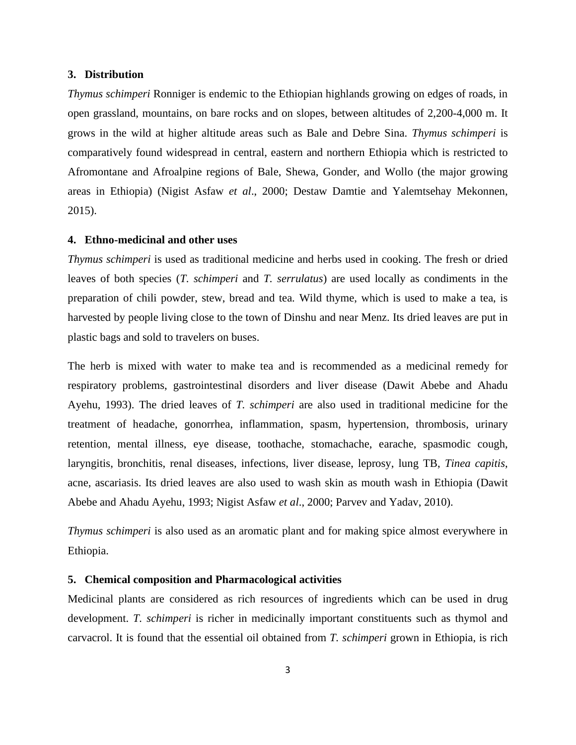#### **3. Distribution**

*Thymus schimperi* Ronniger is endemic to the Ethiopian highlands growing on edges of roads, in open grassland, mountains, on bare rocks and on slopes, between altitudes of 2,200-4,000 m. It grows in the wild at higher altitude areas such as Bale and Debre Sina. *Thymus schimperi* is comparatively found widespread in central, eastern and northern Ethiopia which is restricted to Afromontane and Afroalpine regions of Bale, Shewa, Gonder, and Wollo (the major growing areas in Ethiopia) (Nigist Asfaw *et al*., 2000; Destaw Damtie and Yalemtsehay Mekonnen, 2015).

#### **4. Ethno-medicinal and other uses**

*Thymus schimperi* is used as traditional medicine and herbs used in cooking. The fresh or dried leaves of both species (*T. schimperi* and *T. serrulatus*) are used locally as condiments in the preparation of chili powder, stew, bread and tea. Wild thyme, which is used to make a tea, is harvested by people living close to the town of Dinshu and near Menz. Its dried leaves are put in plastic bags and sold to travelers on buses.

The herb is mixed with water to make tea and is recommended as a medicinal remedy for respiratory problems, gastrointestinal disorders and liver disease (Dawit Abebe and Ahadu Ayehu, 1993). The dried leaves of *T. schimperi* are also used in traditional medicine for the treatment of headache, gonorrhea, inflammation, spasm, hypertension, thrombosis, urinary retention, mental illness, eye disease, toothache, stomachache, earache, spasmodic cough, laryngitis, bronchitis, renal diseases, infections, liver disease, leprosy, lung TB, *Tinea capitis*, acne, ascariasis. Its dried leaves are also used to wash skin as mouth wash in Ethiopia (Dawit Abebe and Ahadu Ayehu, 1993; Nigist Asfaw *et al*., 2000; Parvev and Yadav, 2010).

*Thymus schimperi* is also used as an aromatic plant and for making spice almost everywhere in Ethiopia.

## **5. Chemical composition and Pharmacological activities**

Medicinal plants are considered as rich resources of ingredients which can be used in drug development. *T. schimperi* is richer in medicinally important constituents such as thymol and carvacrol. It is found that the essential oil obtained from *T. schimperi* grown in Ethiopia, is rich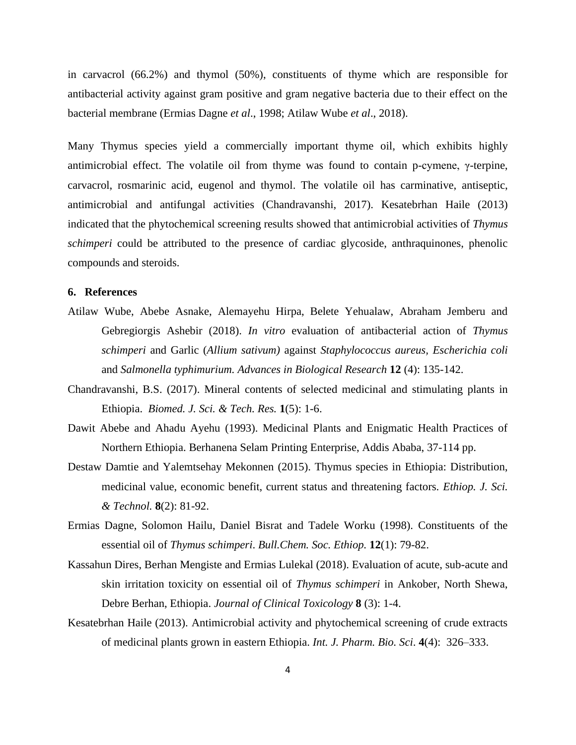in carvacrol (66.2%) and thymol (50%), constituents of thyme which are responsible for antibacterial activity against gram positive and gram negative bacteria due to their effect on the bacterial membrane (Ermias Dagne *et al*., 1998; Atilaw Wube *et al*., 2018).

Many Thymus species yield a commercially important thyme oil, which exhibits highly antimicrobial effect. The volatile oil from thyme was found to contain p-cymene, γ-terpine, carvacrol, rosmarinic acid, eugenol and thymol. The volatile oil has carminative, antiseptic, antimicrobial and antifungal activities (Chandravanshi, 2017). Kesatebrhan Haile (2013) indicated that the phytochemical screening results showed that antimicrobial activities of *Thymus schimperi* could be attributed to the presence of cardiac glycoside, anthraquinones, phenolic compounds and steroids.

## **6. References**

- Atilaw Wube, Abebe Asnake, Alemayehu Hirpa, Belete Yehualaw, Abraham Jemberu and Gebregiorgis Ashebir (2018). *In vitro* evaluation of antibacterial action of *Thymus schimperi* and Garlic (*Allium sativum)* against *Staphylococcus aureus, Escherichia coli*  and *Salmonella typhimurium. Advances in Biological Research* **12** (4): 135-142.
- Chandravanshi, B.S. (2017). Mineral contents of selected medicinal and stimulating plants in Ethiopia. *Biomed. J. Sci. & Tech. Res.* **1**(5): 1-6.
- Dawit Abebe and Ahadu Ayehu (1993). Medicinal Plants and Enigmatic Health Practices of Northern Ethiopia. Berhanena Selam Printing Enterprise, Addis Ababa, 37-114 pp.
- Destaw Damtie and Yalemtsehay Mekonnen (2015). Thymus species in Ethiopia: Distribution, medicinal value, economic benefit, current status and threatening factors. *Ethiop. J. Sci. & Technol.* **8**(2): 81-92.
- Ermias Dagne, Solomon Hailu, Daniel Bisrat and Tadele Worku (1998). Constituents of the essential oil of *Thymus schimperi*. *Bull.Chem. Soc. Ethiop.* **12**(1): 79-82.
- Kassahun Dires, Berhan Mengiste and Ermias Lulekal (2018). Evaluation of acute, sub-acute and skin irritation toxicity on essential oil of *Thymus schimperi* in Ankober, North Shewa, Debre Berhan, Ethiopia. *Journal of Clinical Toxicology* **8** (3): 1-4.
- Kesatebrhan Haile (2013). Antimicrobial activity and phytochemical screening of crude extracts of medicinal plants grown in eastern Ethiopia. *Int. J. Pharm. Bio. Sci*. **4**(4): 326–333.